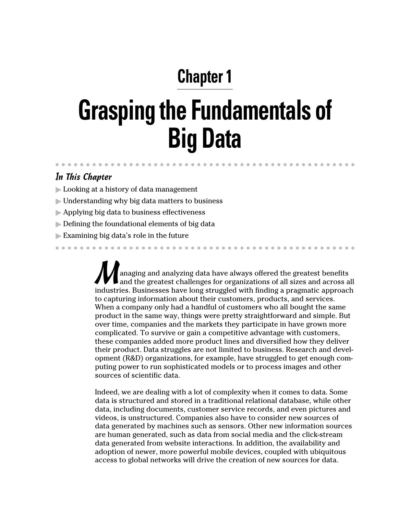# **Chapter 1**

# **Grasping the Fundamentals of Big Data**

#### In This Chapter

- ▶ Looking at a history of data management
- $\triangleright$  Understanding why big data matters to business
- ▶ Applying big data to business effectiveness
- ▶ Defining the foundational elements of big data
- $\triangleright$  Examining big data's role in the future

anaging and analyzing data have always offered the greatest benefits and the greatest challenges for organizations of all sizes and across all industries. Businesses have long struggled with finding a pragmatic approach to capturing information about their customers, products, and services. When a company only had a handful of customers who all bought the same product in the same way, things were pretty straightforward and simple. But over time, companies and the markets they participate in have grown more complicated. To survive or gain a competitive advantage with customers, these companies added more product lines and diversified how they deliver their product. Data struggles are not limited to business. Research and development (R&D) organizations, for example, have struggled to get enough computing power to run sophisticated models or to process images and other sources of scientific data.

Indeed, we are dealing with a lot of complexity when it comes to data. Some data is structured and stored in a traditional relational database, while other data, including documents, customer service records, and even pictures and videos, is unstructured. Companies also have to consider new sources of data generated by machines such as sensors. Other new information sources are human generated, such as data from social media and the click-stream data generated from website interactions. In addition, the availability and adoption of newer, more powerful mobile devices, coupled with ubiquitous access to global networks will drive the creation of new sources for data.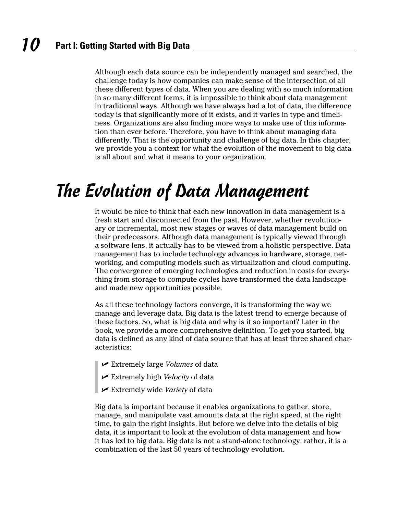Although each data source can be independently managed and searched, the challenge today is how companies can make sense of the intersection of all these different types of data. When you are dealing with so much information in so many different forms, it is impossible to think about data management in traditional ways. Although we have always had a lot of data, the difference today is that significantly more of it exists, and it varies in type and timeliness. Organizations are also finding more ways to make use of this information than ever before. Therefore, you have to think about managing data differently. That is the opportunity and challenge of big data. In this chapter, we provide you a context for what the evolution of the movement to big data is all about and what it means to your organization.

# The Evolution of Data Management

It would be nice to think that each new innovation in data management is a fresh start and disconnected from the past. However, whether revolutionary or incremental, most new stages or waves of data management build on their predecessors. Although data management is typically viewed through a software lens, it actually has to be viewed from a holistic perspective. Data management has to include technology advances in hardware, storage, networking, and computing models such as virtualization and cloud computing. The convergence of emerging technologies and reduction in costs for everything from storage to compute cycles have transformed the data landscape and made new opportunities possible.

As all these technology factors converge, it is transforming the way we manage and leverage data. Big data is the latest trend to emerge because of these factors. So, what is big data and why is it so important? Later in the book, we provide a more comprehensive definition. To get you started, big data is defined as any kind of data source that has at least three shared characteristics:

- ✓ Extremely large *Volumes* of data
- ✓ Extremely high *Velocity* of data
- ✓ Extremely wide *Variety* of data

Big data is important because it enables organizations to gather, store, manage, and manipulate vast amounts data at the right speed, at the right time, to gain the right insights. But before we delve into the details of big data, it is important to look at the evolution of data management and how it has led to big data. Big data is not a stand-alone technology; rather, it is a combination of the last 50 years of technology evolution.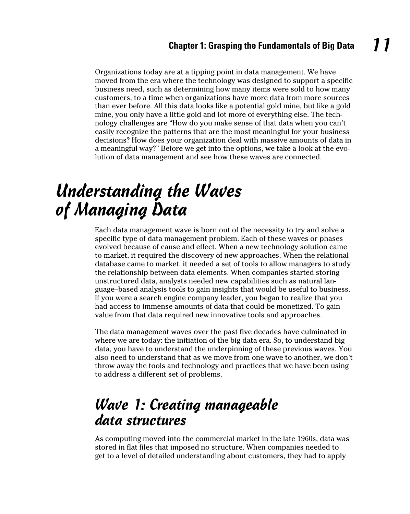Organizations today are at a tipping point in data management. We have moved from the era where the technology was designed to support a specific business need, such as determining how many items were sold to how many customers, to a time when organizations have more data from more sources than ever before. All this data looks like a potential gold mine, but like a gold mine, you only have a little gold and lot more of everything else. The technology challenges are "How do you make sense of that data when you can't easily recognize the patterns that are the most meaningful for your business decisions? How does your organization deal with massive amounts of data in a meaningful way?" Before we get into the options, we take a look at the evolution of data management and see how these waves are connected.

# Understanding the Waves of Managing Data

Each data management wave is born out of the necessity to try and solve a specific type of data management problem. Each of these waves or phases evolved because of cause and effect. When a new technology solution came to market, it required the discovery of new approaches. When the relational database came to market, it needed a set of tools to allow managers to study the relationship between data elements. When companies started storing unstructured data, analysts needed new capabilities such as natural language–based analysis tools to gain insights that would be useful to business. If you were a search engine company leader, you began to realize that you had access to immense amounts of data that could be monetized. To gain value from that data required new innovative tools and approaches.

The data management waves over the past five decades have culminated in where we are today: the initiation of the big data era. So, to understand big data, you have to understand the underpinning of these previous waves. You also need to understand that as we move from one wave to another, we don't throw away the tools and technology and practices that we have been using to address a different set of problems.

### Wave 1: Creating manageable data structures

As computing moved into the commercial market in the late 1960s, data was stored in flat files that imposed no structure. When companies needed to get to a level of detailed understanding about customers, they had to apply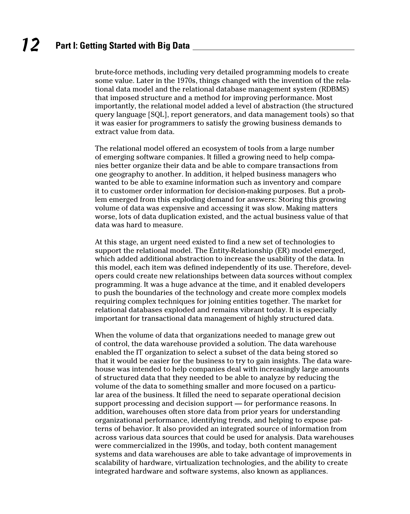brute-force methods, including very detailed programming models to create some value. Later in the 1970s, things changed with the invention of the relational data model and the relational database management system (RDBMS) that imposed structure and a method for improving performance. Most importantly, the relational model added a level of abstraction (the structured query language [SQL], report generators, and data management tools) so that it was easier for programmers to satisfy the growing business demands to extract value from data.

The relational model offered an ecosystem of tools from a large number of emerging software companies. It filled a growing need to help companies better organize their data and be able to compare transactions from one geography to another. In addition, it helped business managers who wanted to be able to examine information such as inventory and compare it to customer order information for decision-making purposes. But a problem emerged from this exploding demand for answers: Storing this growing volume of data was expensive and accessing it was slow. Making matters worse, lots of data duplication existed, and the actual business value of that data was hard to measure.

At this stage, an urgent need existed to find a new set of technologies to support the relational model. The Entity-Relationship (ER) model emerged, which added additional abstraction to increase the usability of the data. In this model, each item was defined independently of its use. Therefore, developers could create new relationships between data sources without complex programming. It was a huge advance at the time, and it enabled developers to push the boundaries of the technology and create more complex models requiring complex techniques for joining entities together. The market for relational databases exploded and remains vibrant today. It is especially important for transactional data management of highly structured data.

When the volume of data that organizations needed to manage grew out of control, the data warehouse provided a solution. The data warehouse enabled the IT organization to select a subset of the data being stored so that it would be easier for the business to try to gain insights. The data warehouse was intended to help companies deal with increasingly large amounts of structured data that they needed to be able to analyze by reducing the volume of the data to something smaller and more focused on a particular area of the business. It filled the need to separate operational decision support processing and decision support — for performance reasons. In addition, warehouses often store data from prior years for understanding organizational performance, identifying trends, and helping to expose patterns of behavior. It also provided an integrated source of information from across various data sources that could be used for analysis. Data warehouses were commercialized in the 1990s, and today, both content management systems and data warehouses are able to take advantage of improvements in scalability of hardware, virtualization technologies, and the ability to create integrated hardware and software systems, also known as appliances.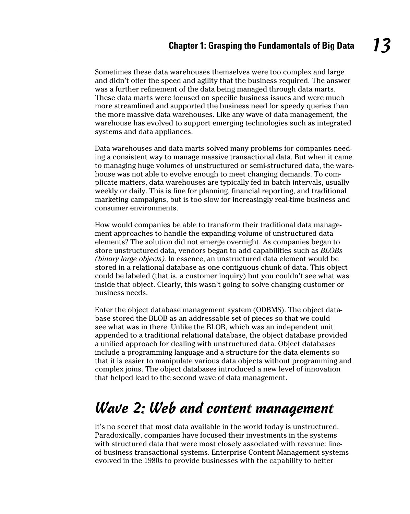Sometimes these data warehouses themselves were too complex and large and didn't offer the speed and agility that the business required. The answer was a further refinement of the data being managed through data marts. These data marts were focused on specific business issues and were much more streamlined and supported the business need for speedy queries than the more massive data warehouses. Like any wave of data management, the warehouse has evolved to support emerging technologies such as integrated systems and data appliances.

Data warehouses and data marts solved many problems for companies needing a consistent way to manage massive transactional data. But when it came to managing huge volumes of unstructured or semi-structured data, the warehouse was not able to evolve enough to meet changing demands. To complicate matters, data warehouses are typically fed in batch intervals, usually weekly or daily. This is fine for planning, financial reporting, and traditional marketing campaigns, but is too slow for increasingly real-time business and consumer environments.

How would companies be able to transform their traditional data management approaches to handle the expanding volume of unstructured data elements? The solution did not emerge overnight. As companies began to store unstructured data, vendors began to add capabilities such as *BLOBs (binary large objects).* In essence, an unstructured data element would be stored in a relational database as one contiguous chunk of data. This object could be labeled (that is, a customer inquiry) but you couldn't see what was inside that object. Clearly, this wasn't going to solve changing customer or business needs.

Enter the object database management system (ODBMS). The object database stored the BLOB as an addressable set of pieces so that we could see what was in there. Unlike the BLOB, which was an independent unit appended to a traditional relational database, the object database provided a unified approach for dealing with unstructured data. Object databases include a programming language and a structure for the data elements so that it is easier to manipulate various data objects without programming and complex joins. The object databases introduced a new level of innovation that helped lead to the second wave of data management.

### Wave 2: Web and content management

It's no secret that most data available in the world today is unstructured. Paradoxically, companies have focused their investments in the systems with structured data that were most closely associated with revenue: lineof-business transactional systems. Enterprise Content Management systems evolved in the 1980s to provide businesses with the capability to better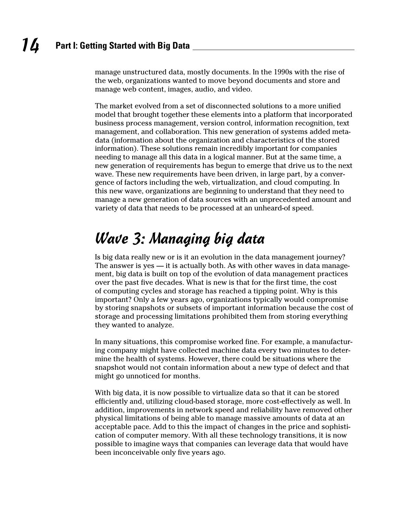manage unstructured data, mostly documents. In the 1990s with the rise of the web, organizations wanted to move beyond documents and store and manage web content, images, audio, and video.

The market evolved from a set of disconnected solutions to a more unified model that brought together these elements into a platform that incorporated business process management, version control, information recognition, text management, and collaboration. This new generation of systems added metadata (information about the organization and characteristics of the stored information). These solutions remain incredibly important for companies needing to manage all this data in a logical manner. But at the same time, a new generation of requirements has begun to emerge that drive us to the next wave. These new requirements have been driven, in large part, by a convergence of factors including the web, virtualization, and cloud computing. In this new wave, organizations are beginning to understand that they need to manage a new generation of data sources with an unprecedented amount and variety of data that needs to be processed at an unheard-of speed.

### Wave 3: Managing big data

Is big data really new or is it an evolution in the data management journey? The answer is yes — it is actually both. As with other waves in data management, big data is built on top of the evolution of data management practices over the past five decades. What is new is that for the first time, the cost of computing cycles and storage has reached a tipping point. Why is this important? Only a few years ago, organizations typically would compromise by storing snapshots or subsets of important information because the cost of storage and processing limitations prohibited them from storing everything they wanted to analyze.

In many situations, this compromise worked fine. For example, a manufacturing company might have collected machine data every two minutes to determine the health of systems. However, there could be situations where the snapshot would not contain information about a new type of defect and that might go unnoticed for months.

With big data, it is now possible to virtualize data so that it can be stored efficiently and, utilizing cloud-based storage, more cost-effectively as well. In addition, improvements in network speed and reliability have removed other physical limitations of being able to manage massive amounts of data at an acceptable pace. Add to this the impact of changes in the price and sophistication of computer memory. With all these technology transitions, it is now possible to imagine ways that companies can leverage data that would have been inconceivable only five years ago.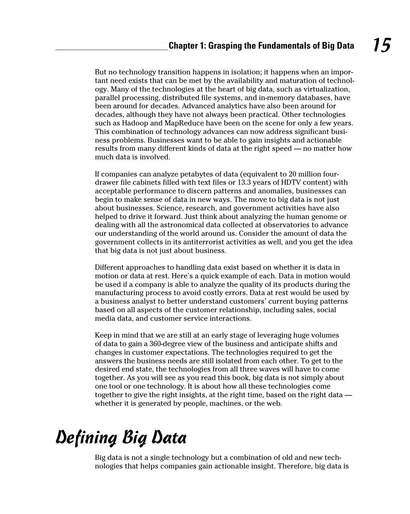But no technology transition happens in isolation; it happens when an important need exists that can be met by the availability and maturation of technology. Many of the technologies at the heart of big data, such as virtualization, parallel processing, distributed file systems, and in-memory databases, have been around for decades. Advanced analytics have also been around for decades, although they have not always been practical. Other technologies such as Hadoop and MapReduce have been on the scene for only a few years. This combination of technology advances can now address significant business problems. Businesses want to be able to gain insights and actionable results from many different kinds of data at the right speed — no matter how much data is involved.

If companies can analyze petabytes of data (equivalent to 20 million fourdrawer file cabinets filled with text files or 13.3 years of HDTV content) with acceptable performance to discern patterns and anomalies, businesses can begin to make sense of data in new ways. The move to big data is not just about businesses. Science, research, and government activities have also helped to drive it forward. Just think about analyzing the human genome or dealing with all the astronomical data collected at observatories to advance our understanding of the world around us. Consider the amount of data the government collects in its antiterrorist activities as well, and you get the idea that big data is not just about business.

Different approaches to handling data exist based on whether it is data in motion or data at rest. Here's a quick example of each. Data in motion would be used if a company is able to analyze the quality of its products during the manufacturing process to avoid costly errors. Data at rest would be used by a business analyst to better understand customers' current buying patterns based on all aspects of the customer relationship, including sales, social media data, and customer service interactions.

Keep in mind that we are still at an early stage of leveraging huge volumes of data to gain a 360-degree view of the business and anticipate shifts and changes in customer expectations. The technologies required to get the answers the business needs are still isolated from each other. To get to the desired end state, the technologies from all three waves will have to come together. As you will see as you read this book, big data is not simply about one tool or one technology. It is about how all these technologies come together to give the right insights, at the right time, based on the right data whether it is generated by people, machines, or the web.

# Defining Big Data

Big data is not a single technology but a combination of old and new technologies that helps companies gain actionable insight. Therefore, big data is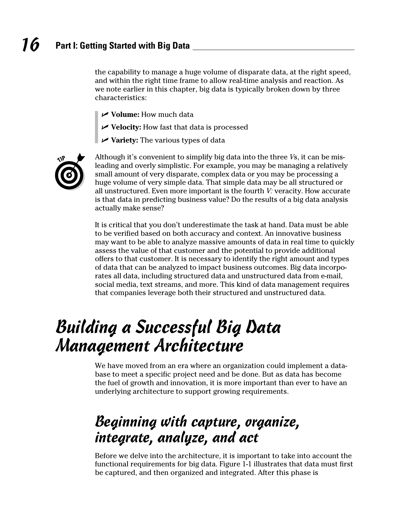the capability to manage a huge volume of disparate data, at the right speed, and within the right time frame to allow real-time analysis and reaction. As we note earlier in this chapter, big data is typically broken down by three characteristics:

- ✓ **Volume:** How much data
- ✓ **Velocity:** How fast that data is processed
- ✓ **Variety:** The various types of data



Although it's convenient to simplify big data into the three *V*s, it can be misleading and overly simplistic. For example, you may be managing a relatively small amount of very disparate, complex data or you may be processing a huge volume of very simple data. That simple data may be all structured or all unstructured. Even more important is the fourth *V:* veracity. How accurate is that data in predicting business value? Do the results of a big data analysis actually make sense?

It is critical that you don't underestimate the task at hand. Data must be able to be verified based on both accuracy and context. An innovative business may want to be able to analyze massive amounts of data in real time to quickly assess the value of that customer and the potential to provide additional offers to that customer. It is necessary to identify the right amount and types of data that can be analyzed to impact business outcomes. Big data incorporates all data, including structured data and unstructured data from e-mail, social media, text streams, and more. This kind of data management requires that companies leverage both their structured and unstructured data.

# Building a Successful Big Data Management Architecture

We have moved from an era where an organization could implement a database to meet a specific project need and be done. But as data has become the fuel of growth and innovation, it is more important than ever to have an underlying architecture to support growing requirements.

### Beginning with capture, organize, integrate, analyze, and act

Before we delve into the architecture, it is important to take into account the functional requirements for big data. Figure 1-1 illustrates that data must first be captured, and then organized and integrated. After this phase is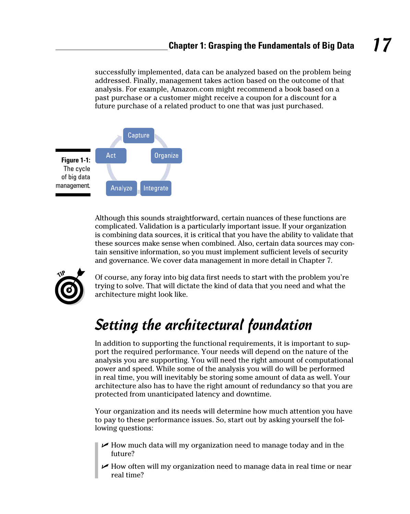successfully implemented, data can be analyzed based on the problem being addressed. Finally, management takes action based on the outcome of that analysis. For example, Amazon.com might recommend a book based on a past purchase or a customer might receive a coupon for a discount for a future purchase of a related product to one that was just purchased.



Although this sounds straightforward, certain nuances of these functions are complicated. Validation is a particularly important issue. If your organization is combining data sources, it is critical that you have the ability to validate that these sources make sense when combined. Also, certain data sources may contain sensitive information, so you must implement sufficient levels of security and governance. We cover data management in more detail in Chapter 7.



Of course, any foray into big data first needs to start with the problem you're trying to solve. That will dictate the kind of data that you need and what the architecture might look like.

## Setting the architectural foundation

In addition to supporting the functional requirements, it is important to support the required performance. Your needs will depend on the nature of the analysis you are supporting. You will need the right amount of computational power and speed. While some of the analysis you will do will be performed in real time, you will inevitably be storing some amount of data as well. Your architecture also has to have the right amount of redundancy so that you are protected from unanticipated latency and downtime.

Your organization and its needs will determine how much attention you have to pay to these performance issues. So, start out by asking yourself the following questions:

- $\angle$  How much data will my organization need to manage today and in the future?
- ✓ How often will my organization need to manage data in real time or near real time?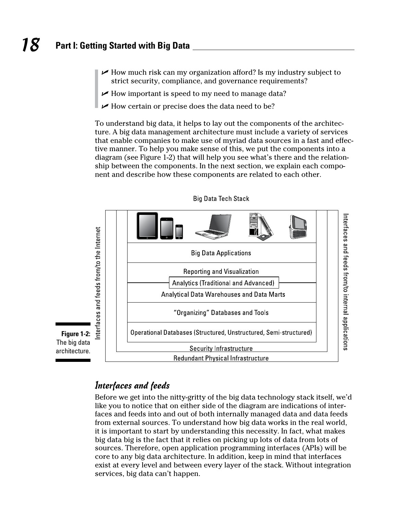- $\blacktriangleright$  How much risk can my organization afford? Is my industry subject to strict security, compliance, and governance requirements?
- $\blacktriangleright$  How important is speed to my need to manage data?
- $\blacktriangleright$  How certain or precise does the data need to be?

To understand big data, it helps to lay out the components of the architecture. A big data management architecture must include a variety of services that enable companies to make use of myriad data sources in a fast and effective manner. To help you make sense of this, we put the components into a diagram (see Figure 1-2) that will help you see what's there and the relationship between the components. In the next section, we explain each component and describe how these components are related to each other.



**Big Data Tech Stack** 

#### Interfaces and feeds

Before we get into the nitty-gritty of the big data technology stack itself, we'd like you to notice that on either side of the diagram are indications of interfaces and feeds into and out of both internally managed data and data feeds from external sources. To understand how big data works in the real world, it is important to start by understanding this necessity. In fact, what makes big data big is the fact that it relies on picking up lots of data from lots of sources. Therefore, open application programming interfaces (APIs) will be core to any big data architecture. In addition, keep in mind that interfaces exist at every level and between every layer of the stack. Without integration services, big data can't happen.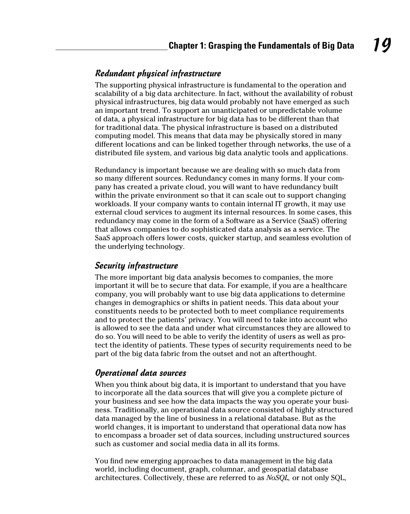#### Redundant physical infrastructure

The supporting physical infrastructure is fundamental to the operation and scalability of a big data architecture. In fact, without the availability of robust physical infrastructures, big data would probably not have emerged as such an important trend. To support an unanticipated or unpredictable volume of data, a physical infrastructure for big data has to be different than that for traditional data. The physical infrastructure is based on a distributed computing model. This means that data may be physically stored in many different locations and can be linked together through networks, the use of a distributed file system, and various big data analytic tools and applications.

Redundancy is important because we are dealing with so much data from so many different sources. Redundancy comes in many forms. If your company has created a private cloud, you will want to have redundancy built within the private environment so that it can scale out to support changing workloads. If your company wants to contain internal IT growth, it may use external cloud services to augment its internal resources. In some cases, this redundancy may come in the form of a Software as a Service (SaaS) offering that allows companies to do sophisticated data analysis as a service. The SaaS approach offers lower costs, quicker startup, and seamless evolution of the underlying technology.

#### Security infrastructure

The more important big data analysis becomes to companies, the more important it will be to secure that data. For example, if you are a healthcare company, you will probably want to use big data applications to determine changes in demographics or shifts in patient needs. This data about your constituents needs to be protected both to meet compliance requirements and to protect the patients' privacy. You will need to take into account who is allowed to see the data and under what circumstances they are allowed to do so. You will need to be able to verify the identity of users as well as protect the identity of patients. These types of security requirements need to be part of the big data fabric from the outset and not an afterthought.

#### Operational data sources

When you think about big data, it is important to understand that you have to incorporate all the data sources that will give you a complete picture of your business and see how the data impacts the way you operate your business. Traditionally, an operational data source consisted of highly structured data managed by the line of business in a relational database. But as the world changes, it is important to understand that operational data now has to encompass a broader set of data sources, including unstructured sources such as customer and social media data in all its forms.

You find new emerging approaches to data management in the big data world, including document, graph, columnar, and geospatial database architectures. Collectively, these are referred to as *NoSQL,* or not only SQL,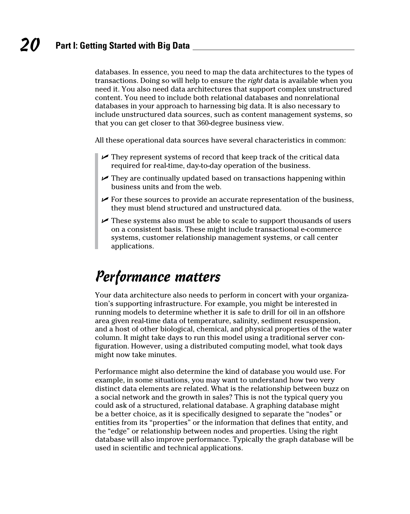databases. In essence, you need to map the data architectures to the types of transactions. Doing so will help to ensure the *right* data is available when you need it. You also need data architectures that support complex unstructured content. You need to include both relational databases and nonrelational databases in your approach to harnessing big data. It is also necessary to include unstructured data sources, such as content management systems, so that you can get closer to that 360-degree business view.

All these operational data sources have several characteristics in common:

- $\triangleright$  They represent systems of record that keep track of the critical data required for real-time, day-to-day operation of the business.
- ✓ They are continually updated based on transactions happening within business units and from the web.
- $\triangleright$  For these sources to provide an accurate representation of the business, they must blend structured and unstructured data.
- $\triangleright$  These systems also must be able to scale to support thousands of users on a consistent basis. These might include transactional e-commerce systems, customer relationship management systems, or call center applications.

### Performance matters

Your data architecture also needs to perform in concert with your organization's supporting infrastructure. For example, you might be interested in running models to determine whether it is safe to drill for oil in an offshore area given real-time data of temperature, salinity, sediment resuspension, and a host of other biological, chemical, and physical properties of the water column. It might take days to run this model using a traditional server configuration. However, using a distributed computing model, what took days might now take minutes.

Performance might also determine the kind of database you would use. For example, in some situations, you may want to understand how two very distinct data elements are related. What is the relationship between buzz on a social network and the growth in sales? This is not the typical query you could ask of a structured, relational database. A graphing database might be a better choice, as it is specifically designed to separate the "nodes" or entities from its "properties" or the information that defines that entity, and the "edge" or relationship between nodes and properties. Using the right database will also improve performance. Typically the graph database will be used in scientific and technical applications.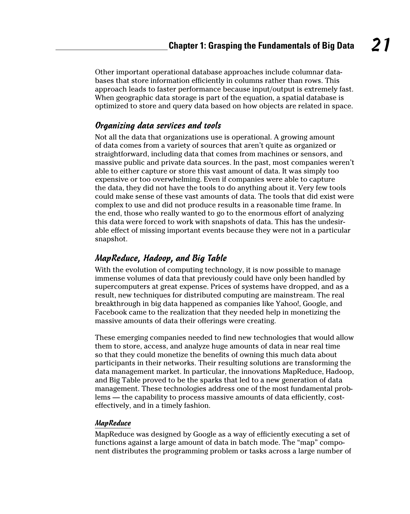Other important operational database approaches include columnar databases that store information efficiently in columns rather than rows. This approach leads to faster performance because input/output is extremely fast. When geographic data storage is part of the equation, a spatial database is optimized to store and query data based on how objects are related in space.

#### Organizing data services and tools

Not all the data that organizations use is operational. A growing amount of data comes from a variety of sources that aren't quite as organized or straightforward, including data that comes from machines or sensors, and massive public and private data sources. In the past, most companies weren't able to either capture or store this vast amount of data. It was simply too expensive or too overwhelming. Even if companies were able to capture the data, they did not have the tools to do anything about it. Very few tools could make sense of these vast amounts of data. The tools that did exist were complex to use and did not produce results in a reasonable time frame. In the end, those who really wanted to go to the enormous effort of analyzing this data were forced to work with snapshots of data. This has the undesirable effect of missing important events because they were not in a particular snapshot.

#### MapReduce, Hadoop, and Big Table

With the evolution of computing technology, it is now possible to manage immense volumes of data that previously could have only been handled by supercomputers at great expense. Prices of systems have dropped, and as a result, new techniques for distributed computing are mainstream. The real breakthrough in big data happened as companies like Yahoo!, Google, and Facebook came to the realization that they needed help in monetizing the massive amounts of data their offerings were creating.

These emerging companies needed to find new technologies that would allow them to store, access, and analyze huge amounts of data in near real time so that they could monetize the benefits of owning this much data about participants in their networks. Their resulting solutions are transforming the data management market. In particular, the innovations MapReduce, Hadoop, and Big Table proved to be the sparks that led to a new generation of data management. These technologies address one of the most fundamental problems — the capability to process massive amounts of data efficiently, costeffectively, and in a timely fashion.

#### MapReduce

MapReduce was designed by Google as a way of efficiently executing a set of functions against a large amount of data in batch mode. The "map" component distributes the programming problem or tasks across a large number of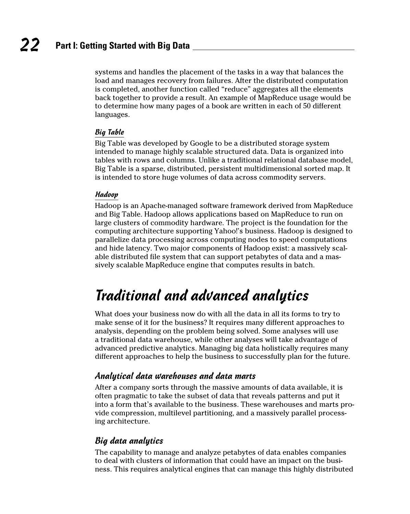systems and handles the placement of the tasks in a way that balances the load and manages recovery from failures. After the distributed computation is completed, another function called "reduce" aggregates all the elements back together to provide a result. An example of MapReduce usage would be to determine how many pages of a book are written in each of 50 different languages.

#### Big Table

Big Table was developed by Google to be a distributed storage system intended to manage highly scalable structured data. Data is organized into tables with rows and columns. Unlike a traditional relational database model, Big Table is a sparse, distributed, persistent multidimensional sorted map. It is intended to store huge volumes of data across commodity servers.

#### Hadoop

Hadoop is an Apache-managed software framework derived from MapReduce and Big Table. Hadoop allows applications based on MapReduce to run on large clusters of commodity hardware. The project is the foundation for the computing architecture supporting Yahoo!'s business. Hadoop is designed to parallelize data processing across computing nodes to speed computations and hide latency. Two major components of Hadoop exist: a massively scalable distributed file system that can support petabytes of data and a massively scalable MapReduce engine that computes results in batch.

### Traditional and advanced analytics

What does your business now do with all the data in all its forms to try to make sense of it for the business? It requires many different approaches to analysis, depending on the problem being solved. Some analyses will use a traditional data warehouse, while other analyses will take advantage of advanced predictive analytics. Managing big data holistically requires many different approaches to help the business to successfully plan for the future.

#### Analytical data warehouses and data marts

After a company sorts through the massive amounts of data available, it is often pragmatic to take the subset of data that reveals patterns and put it into a form that's available to the business. These warehouses and marts provide compression, multilevel partitioning, and a massively parallel processing architecture.

#### Big data analytics

The capability to manage and analyze petabytes of data enables companies to deal with clusters of information that could have an impact on the business. This requires analytical engines that can manage this highly distributed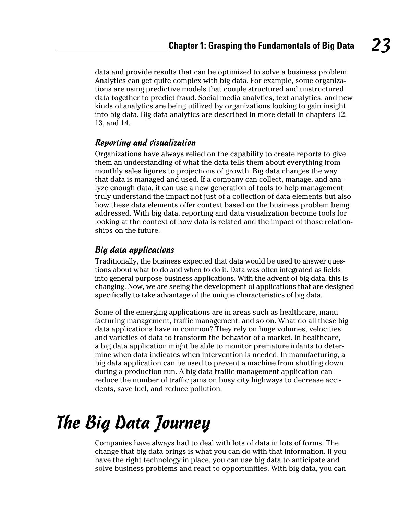data and provide results that can be optimized to solve a business problem. Analytics can get quite complex with big data. For example, some organizations are using predictive models that couple structured and unstructured data together to predict fraud. Social media analytics, text analytics, and new kinds of analytics are being utilized by organizations looking to gain insight into big data. Big data analytics are described in more detail in chapters 12, 13, and 14.

#### Reporting and visualization

Organizations have always relied on the capability to create reports to give them an understanding of what the data tells them about everything from monthly sales figures to projections of growth. Big data changes the way that data is managed and used. If a company can collect, manage, and analyze enough data, it can use a new generation of tools to help management truly understand the impact not just of a collection of data elements but also how these data elements offer context based on the business problem being addressed. With big data, reporting and data visualization become tools for looking at the context of how data is related and the impact of those relationships on the future.

#### Big data applications

Traditionally, the business expected that data would be used to answer questions about what to do and when to do it. Data was often integrated as fields into general-purpose business applications. With the advent of big data, this is changing. Now, we are seeing the development of applications that are designed specifically to take advantage of the unique characteristics of big data.

Some of the emerging applications are in areas such as healthcare, manufacturing management, traffic management, and so on. What do all these big data applications have in common? They rely on huge volumes, velocities, and varieties of data to transform the behavior of a market. In healthcare, a big data application might be able to monitor premature infants to determine when data indicates when intervention is needed. In manufacturing, a big data application can be used to prevent a machine from shutting down during a production run. A big data traffic management application can reduce the number of traffic jams on busy city highways to decrease accidents, save fuel, and reduce pollution.

# The Big Data Journey

Companies have always had to deal with lots of data in lots of forms. The change that big data brings is what you can do with that information. If you have the right technology in place, you can use big data to anticipate and solve business problems and react to opportunities. With big data, you can